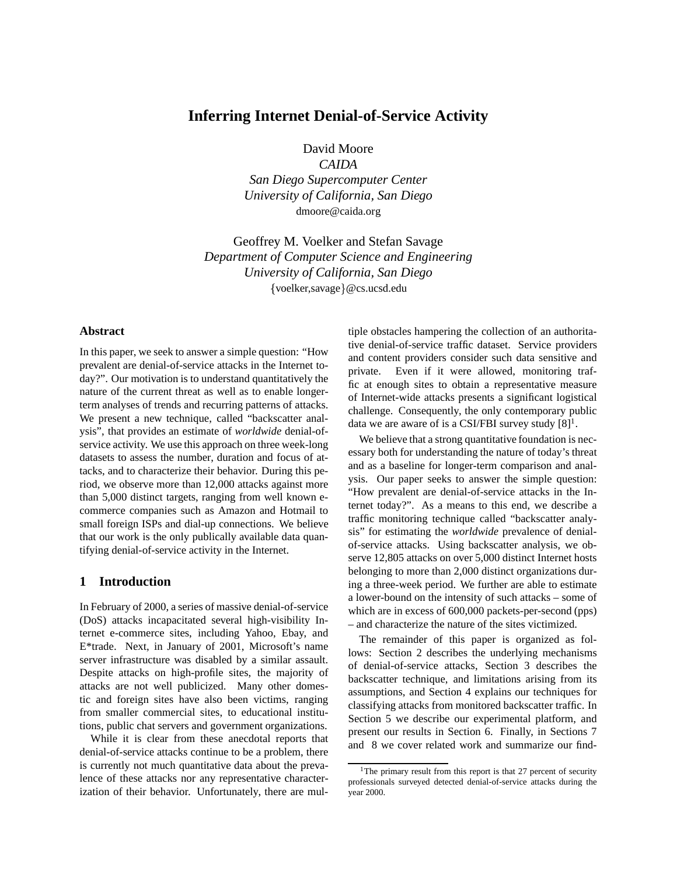# **Inferring Internet Denial-of-Service Activity**

David Moore

*CAIDA San Diego Supercomputer Center University of California, San Diego* dmoore@caida.org

Geoffrey M. Voelker and Stefan Savage *Department of Computer Science and Engineering University of California, San Diego* {voelker,savage}@cs.ucsd.edu

## **Abstract**

In this paper, we seek to answer a simple question: "How prevalent are denial-of-service attacks in the Internet today?". Our motivation is to understand quantitatively the nature of the current threat as well as to enable longerterm analyses of trends and recurring patterns of attacks. We present a new technique, called "backscatter analysis", that provides an estimate of *worldwide* denial-ofservice activity. We use this approach on three week-long datasets to assess the number, duration and focus of attacks, and to characterize their behavior. During this period, we observe more than 12,000 attacks against more than 5,000 distinct targets, ranging from well known ecommerce companies such as Amazon and Hotmail to small foreign ISPs and dial-up connections. We believe that our work is the only publically available data quantifying denial-of-service activity in the Internet.

## **1 Introduction**

In February of 2000, a series of massive denial-of-service (DoS) attacks incapacitated several high-visibility Internet e-commerce sites, including Yahoo, Ebay, and E\*trade. Next, in January of 2001, Microsoft's name server infrastructure was disabled by a similar assault. Despite attacks on high-profile sites, the majority of attacks are not well publicized. Many other domestic and foreign sites have also been victims, ranging from smaller commercial sites, to educational institutions, public chat servers and government organizations.

While it is clear from these anecdotal reports that denial-of-service attacks continue to be a problem, there is currently not much quantitative data about the prevalence of these attacks nor any representative characterization of their behavior. Unfortunately, there are multiple obstacles hampering the collection of an authoritative denial-of-service traffic dataset. Service providers and content providers consider such data sensitive and private. Even if it were allowed, monitoring traffic at enough sites to obtain a representative measure of Internet-wide attacks presents a significant logistical challenge. Consequently, the only contemporary public data we are aware of is a CSI/FBI survey study  $[8]$ <sup>1</sup>.

We believe that a strong quantitative foundation is necessary both for understanding the nature of today's threat and as a baseline for longer-term comparison and analysis. Our paper seeks to answer the simple question: "How prevalent are denial-of-service attacks in the Internet today?". As a means to this end, we describe a traffic monitoring technique called "backscatter analysis" for estimating the *worldwide* prevalence of denialof-service attacks. Using backscatter analysis, we observe 12,805 attacks on over 5,000 distinct Internet hosts belonging to more than 2,000 distinct organizations during a three-week period. We further are able to estimate a lower-bound on the intensity of such attacks – some of which are in excess of 600,000 packets-per-second (pps) – and characterize the nature of the sites victimized.

The remainder of this paper is organized as follows: Section 2 describes the underlying mechanisms of denial-of-service attacks, Section 3 describes the backscatter technique, and limitations arising from its assumptions, and Section 4 explains our techniques for classifying attacks from monitored backscatter traffic. In Section 5 we describe our experimental platform, and present our results in Section 6. Finally, in Sections 7 and 8 we cover related work and summarize our find-

<sup>&</sup>lt;sup>1</sup>The primary result from this report is that 27 percent of security professionals surveyed detected denial-of-service attacks during the year 2000.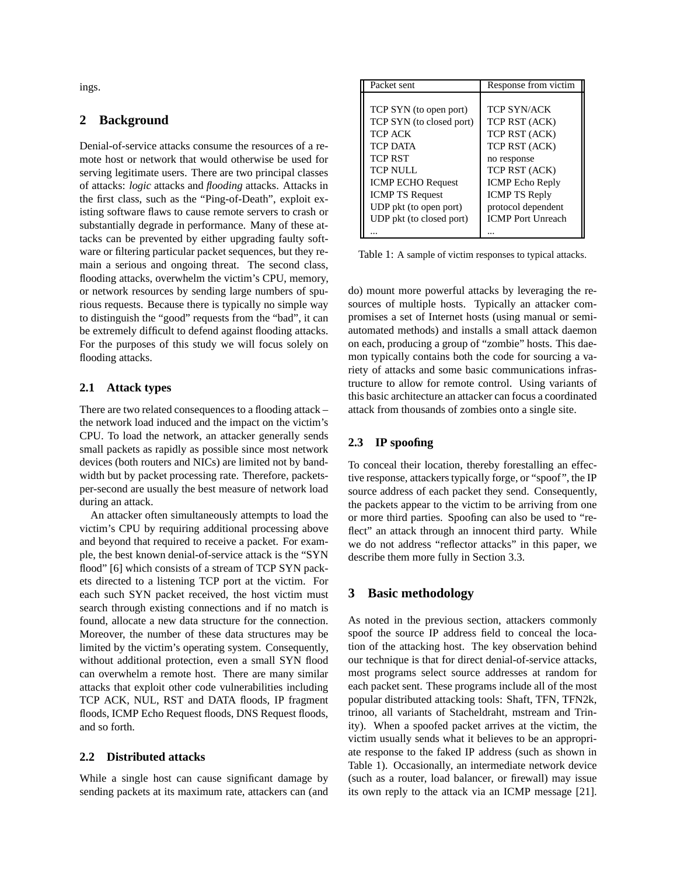ings.

# **2 Background**

Denial-of-service attacks consume the resources of a remote host or network that would otherwise be used for serving legitimate users. There are two principal classes of attacks: *logic* attacks and *flooding* attacks. Attacks in the first class, such as the "Ping-of-Death", exploit existing software flaws to cause remote servers to crash or substantially degrade in performance. Many of these attacks can be prevented by either upgrading faulty software or filtering particular packet sequences, but they remain a serious and ongoing threat. The second class, flooding attacks, overwhelm the victim's CPU, memory, or network resources by sending large numbers of spurious requests. Because there is typically no simple way to distinguish the "good" requests from the "bad", it can be extremely difficult to defend against flooding attacks. For the purposes of this study we will focus solely on flooding attacks.

## **2.1 Attack types**

There are two related consequences to a flooding attack – the network load induced and the impact on the victim's CPU. To load the network, an attacker generally sends small packets as rapidly as possible since most network devices (both routers and NICs) are limited not by bandwidth but by packet processing rate. Therefore, packetsper-second are usually the best measure of network load during an attack.

An attacker often simultaneously attempts to load the victim's CPU by requiring additional processing above and beyond that required to receive a packet. For example, the best known denial-of-service attack is the "SYN flood" [6] which consists of a stream of TCP SYN packets directed to a listening TCP port at the victim. For each such SYN packet received, the host victim must search through existing connections and if no match is found, allocate a new data structure for the connection. Moreover, the number of these data structures may be limited by the victim's operating system. Consequently, without additional protection, even a small SYN flood can overwhelm a remote host. There are many similar attacks that exploit other code vulnerabilities including TCP ACK, NUL, RST and DATA floods, IP fragment floods, ICMP Echo Request floods, DNS Request floods, and so forth.

## **2.2 Distributed attacks**

While a single host can cause significant damage by sending packets at its maximum rate, attackers can (and

| Packet sent              | Response from victim     |
|--------------------------|--------------------------|
|                          |                          |
| TCP SYN (to open port)   | <b>TCP SYN/ACK</b>       |
| TCP SYN (to closed port) | TCP RST (ACK)            |
| TCP ACK                  | TCP RST (ACK)            |
| <b>TCP DATA</b>          | TCP RST (ACK)            |
| <b>TCP RST</b>           | no response              |
| <b>TCP NULL</b>          | TCP RST (ACK)            |
| <b>ICMP ECHO Request</b> | <b>ICMP</b> Echo Reply   |
| <b>ICMP TS Request</b>   | <b>ICMP TS Reply</b>     |
| UDP pkt (to open port)   | protocol dependent       |
| UDP pkt (to closed port) | <b>ICMP</b> Port Unreach |
|                          |                          |

Table 1: A sample of victim responses to typical attacks.

do) mount more powerful attacks by leveraging the resources of multiple hosts. Typically an attacker compromises a set of Internet hosts (using manual or semiautomated methods) and installs a small attack daemon on each, producing a group of "zombie" hosts. This daemon typically contains both the code for sourcing a variety of attacks and some basic communications infrastructure to allow for remote control. Using variants of this basic architecture an attacker can focus a coordinated attack from thousands of zombies onto a single site.

# **2.3 IP spoofing**

To conceal their location, thereby forestalling an effective response, attackers typically forge, or "spoof", the IP source address of each packet they send. Consequently, the packets appear to the victim to be arriving from one or more third parties. Spoofing can also be used to "reflect" an attack through an innocent third party. While we do not address "reflector attacks" in this paper, we describe them more fully in Section 3.3.

# **3 Basic methodology**

As noted in the previous section, attackers commonly spoof the source IP address field to conceal the location of the attacking host. The key observation behind our technique is that for direct denial-of-service attacks, most programs select source addresses at random for each packet sent. These programs include all of the most popular distributed attacking tools: Shaft, TFN, TFN2k, trinoo, all variants of Stacheldraht, mstream and Trinity). When a spoofed packet arrives at the victim, the victim usually sends what it believes to be an appropriate response to the faked IP address (such as shown in Table 1). Occasionally, an intermediate network device (such as a router, load balancer, or firewall) may issue its own reply to the attack via an ICMP message [21].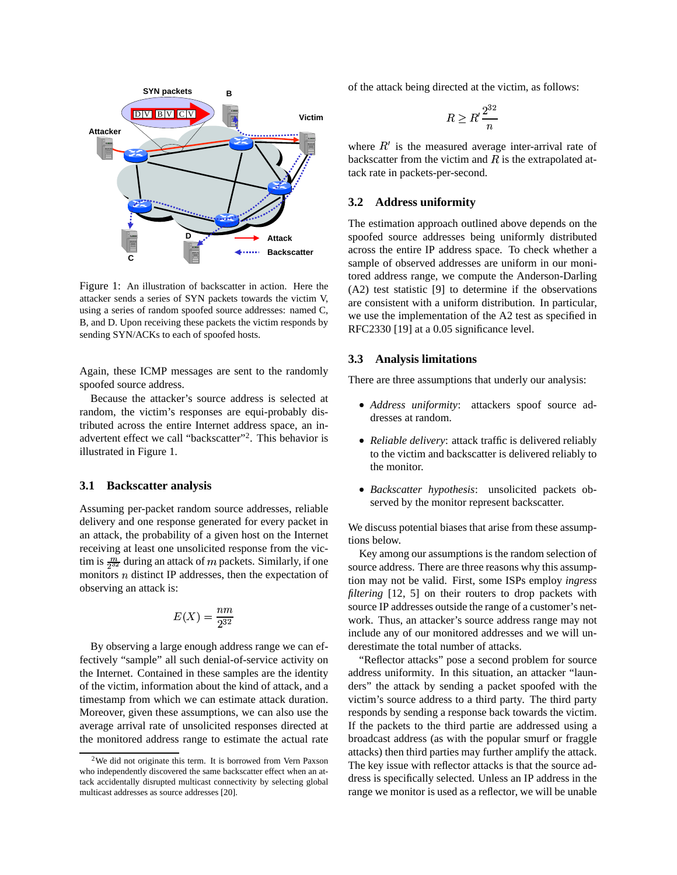

Figure 1: An illustration of backscatter in action. Here the attacker sends a series of SYN packets towards the victim V, using a series of random spoofed source addresses: named C, B, and D. Upon receiving these packets the victim responds by sending SYN/ACKs to each of spoofed hosts.

Again, these ICMP messages are sent to the randomly spoofed source address.

Because the attacker's source address is selected at random, the victim's responses are equi-probably distributed across the entire Internet address space, an inadvertent effect we call "backscatter"<sup>2</sup> . This behavior is illustrated in Figure 1.

#### **3.1 Backscatter analysis**

Assuming per-packet random source addresses, reliable delivery and one response generated for every packet in an attack, the probability of a given host on the Internet receiving at least one unsolicited response from the victim is  $\frac{m}{2^{32}}$  during an attack of m packets. Similarly, if one monitors  $n$  distinct IP addresses, then the expectation of observing an attack is:

$$
E(X)=\frac{nm}{2^{32}}
$$

By observing a large enough address range we can effectively "sample" all such denial-of-service activity on the Internet. Contained in these samples are the identity of the victim, information about the kind of attack, and a timestamp from which we can estimate attack duration. Moreover, given these assumptions, we can also use the average arrival rate of unsolicited responses directed at the monitored address range to estimate the actual rate of the attack being directed at the victim, as follows:

$$
R \geq R'\frac{2^{32}}{n}
$$

where  $R'$  is the measured average inter-arrival rate of backscatter from the victim and  $R$  is the extrapolated attack rate in packets-per-second.

## **3.2 Address uniformity**

The estimation approach outlined above depends on the spoofed source addresses being uniformly distributed across the entire IP address space. To check whether a sample of observed addresses are uniform in our monitored address range, we compute the Anderson-Darling (A2) test statistic [9] to determine if the observations are consistent with a uniform distribution. In particular, we use the implementation of the A2 test as specified in RFC2330 [19] at a 0.05 significance level.

#### **3.3 Analysis limitations**

There are three assumptions that underly our analysis:

- *Address uniformity*: attackers spoof source addresses at random.
- *Reliable delivery*: attack traffic is delivered reliably to the victim and backscatter is delivered reliably to the monitor.
- *Backscatter hypothesis*: unsolicited packets observed by the monitor represent backscatter.

We discuss potential biases that arise from these assumptions below.

Key among our assumptions is the random selection of source address. There are three reasons why this assumption may not be valid. First, some ISPs employ *ingress filtering* [12, 5] on their routers to drop packets with source IP addresses outside the range of a customer's network. Thus, an attacker's source address range may not include any of our monitored addresses and we will underestimate the total number of attacks.

"Reflector attacks" pose a second problem for source address uniformity. In this situation, an attacker "launders" the attack by sending a packet spoofed with the victim's source address to a third party. The third party responds by sending a response back towards the victim. If the packets to the third partie are addressed using a broadcast address (as with the popular smurf or fraggle attacks) then third parties may further amplify the attack. The key issue with reflector attacks is that the source address is specifically selected. Unless an IP address in the range we monitor is used as a reflector, we will be unable

<sup>2</sup>We did not originate this term. It is borrowed from Vern Paxson who independently discovered the same backscatter effect when an attack accidentally disrupted multicast connectivity by selecting global multicast addresses as source addresses [20].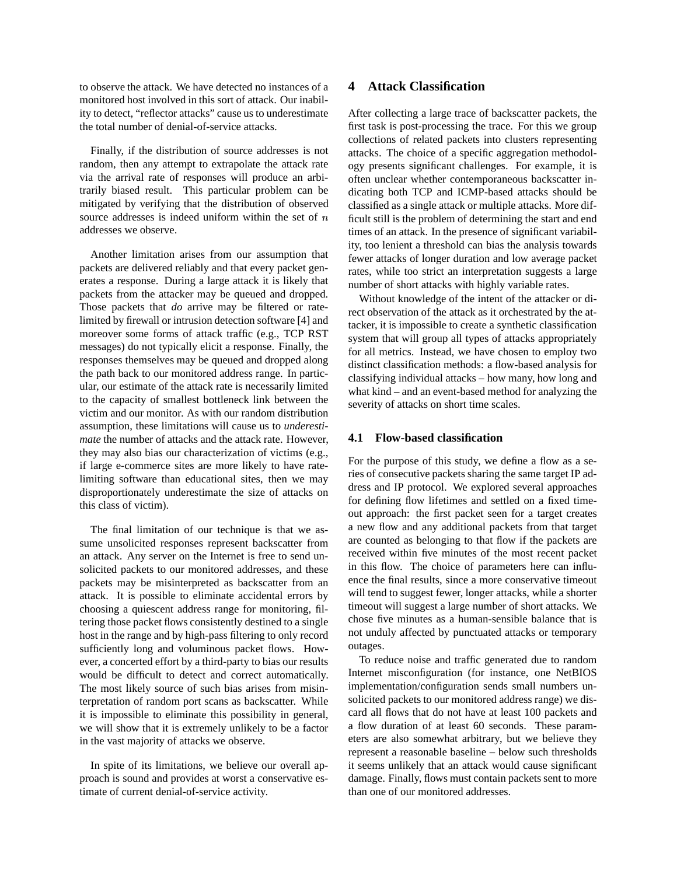to observe the attack. We have detected no instances of a monitored host involved in this sort of attack. Our inability to detect, "reflector attacks" cause us to underestimate the total number of denial-of-service attacks.

Finally, if the distribution of source addresses is not random, then any attempt to extrapolate the attack rate via the arrival rate of responses will produce an arbitrarily biased result. This particular problem can be mitigated by verifying that the distribution of observed source addresses is indeed uniform within the set of  $n$ addresses we observe.

Another limitation arises from our assumption that packets are delivered reliably and that every packet generates a response. During a large attack it is likely that packets from the attacker may be queued and dropped. Those packets that *do* arrive may be filtered or ratelimited by firewall or intrusion detection software [4] and moreover some forms of attack traffic (e.g., TCP RST messages) do not typically elicit a response. Finally, the responses themselves may be queued and dropped along the path back to our monitored address range. In particular, our estimate of the attack rate is necessarily limited to the capacity of smallest bottleneck link between the victim and our monitor. As with our random distribution assumption, these limitations will cause us to *underestimate* the number of attacks and the attack rate. However, they may also bias our characterization of victims (e.g., if large e-commerce sites are more likely to have ratelimiting software than educational sites, then we may disproportionately underestimate the size of attacks on this class of victim).

The final limitation of our technique is that we assume unsolicited responses represent backscatter from an attack. Any server on the Internet is free to send unsolicited packets to our monitored addresses, and these packets may be misinterpreted as backscatter from an attack. It is possible to eliminate accidental errors by choosing a quiescent address range for monitoring, filtering those packet flows consistently destined to a single host in the range and by high-pass filtering to only record sufficiently long and voluminous packet flows. However, a concerted effort by a third-party to bias our results would be difficult to detect and correct automatically. The most likely source of such bias arises from misinterpretation of random port scans as backscatter. While it is impossible to eliminate this possibility in general, we will show that it is extremely unlikely to be a factor in the vast majority of attacks we observe.

In spite of its limitations, we believe our overall approach is sound and provides at worst a conservative estimate of current denial-of-service activity.

# **4 Attack Classification**

After collecting a large trace of backscatter packets, the first task is post-processing the trace. For this we group collections of related packets into clusters representing attacks. The choice of a specific aggregation methodology presents significant challenges. For example, it is often unclear whether contemporaneous backscatter indicating both TCP and ICMP-based attacks should be classified as a single attack or multiple attacks. More difficult still is the problem of determining the start and end times of an attack. In the presence of significant variability, too lenient a threshold can bias the analysis towards fewer attacks of longer duration and low average packet rates, while too strict an interpretation suggests a large number of short attacks with highly variable rates.

Without knowledge of the intent of the attacker or direct observation of the attack as it orchestrated by the attacker, it is impossible to create a synthetic classification system that will group all types of attacks appropriately for all metrics. Instead, we have chosen to employ two distinct classification methods: a flow-based analysis for classifying individual attacks – how many, how long and what kind – and an event-based method for analyzing the severity of attacks on short time scales.

## **4.1 Flow-based classification**

For the purpose of this study, we define a flow as a series of consecutive packets sharing the same target IP address and IP protocol. We explored several approaches for defining flow lifetimes and settled on a fixed timeout approach: the first packet seen for a target creates a new flow and any additional packets from that target are counted as belonging to that flow if the packets are received within five minutes of the most recent packet in this flow. The choice of parameters here can influence the final results, since a more conservative timeout will tend to suggest fewer, longer attacks, while a shorter timeout will suggest a large number of short attacks. We chose five minutes as a human-sensible balance that is not unduly affected by punctuated attacks or temporary outages.

To reduce noise and traffic generated due to random Internet misconfiguration (for instance, one NetBIOS implementation/configuration sends small numbers unsolicited packets to our monitored address range) we discard all flows that do not have at least 100 packets and a flow duration of at least 60 seconds. These parameters are also somewhat arbitrary, but we believe they represent a reasonable baseline – below such thresholds it seems unlikely that an attack would cause significant damage. Finally, flows must contain packets sent to more than one of our monitored addresses.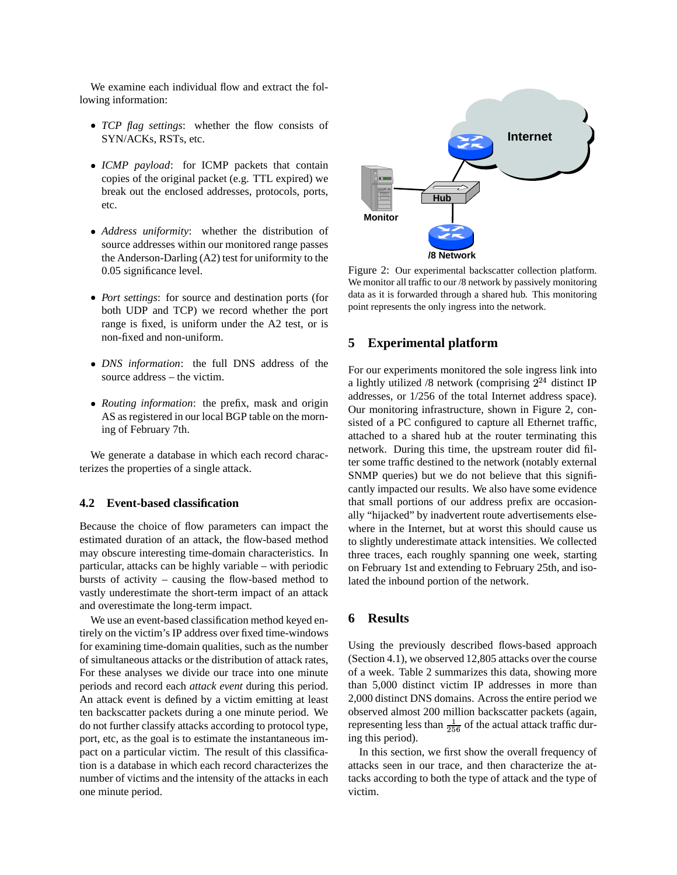We examine each individual flow and extract the following information:

- *TCP flag settings*: whether the flow consists of SYN/ACKs, RSTs, etc.
- *ICMP payload*: for ICMP packets that contain copies of the original packet (e.g. TTL expired) we break out the enclosed addresses, protocols, ports, etc.
- *Address uniformity*: whether the distribution of source addresses within our monitored range passes the Anderson-Darling (A2) test for uniformity to the 0.05 significance level.
- *Port settings*: for source and destination ports (for both UDP and TCP) we record whether the port range is fixed, is uniform under the A2 test, or is non-fixed and non-uniform.
- *DNS information*: the full DNS address of the source address – the victim.
- *Routing information*: the prefix, mask and origin AS as registered in our local BGP table on the morning of February 7th.

We generate a database in which each record characterizes the properties of a single attack.

## **4.2 Event-based classification**

Because the choice of flow parameters can impact the estimated duration of an attack, the flow-based method may obscure interesting time-domain characteristics. In particular, attacks can be highly variable – with periodic bursts of activity – causing the flow-based method to vastly underestimate the short-term impact of an attack and overestimate the long-term impact.

We use an event-based classification method keyed entirely on the victim's IP address over fixed time-windows for examining time-domain qualities, such as the number of simultaneous attacks or the distribution of attack rates, For these analyses we divide our trace into one minute periods and record each *attack event* during this period. An attack event is defined by a victim emitting at least ten backscatter packets during a one minute period. We do not further classify attacks according to protocol type, port, etc, as the goal is to estimate the instantaneous impact on a particular victim. The result of this classification is a database in which each record characterizes the number of victims and the intensity of the attacks in each one minute period.



Figure 2: Our experimental backscatter collection platform. We monitor all traffic to our /8 network by passively monitoring data as it is forwarded through a shared hub. This monitoring point represents the only ingress into the network.

## **5 Experimental platform**

For our experiments monitored the sole ingress link into a lightly utilized /8 network (comprising  $2^{24}$  distinct IP addresses, or 1/256 of the total Internet address space). Our monitoring infrastructure, shown in Figure 2, consisted of a PC configured to capture all Ethernet traffic, attached to a shared hub at the router terminating this network. During this time, the upstream router did filter some traffic destined to the network (notably external SNMP queries) but we do not believe that this significantly impacted our results. We also have some evidence that small portions of our address prefix are occasionally "hijacked" by inadvertent route advertisements elsewhere in the Internet, but at worst this should cause us to slightly underestimate attack intensities. We collected three traces, each roughly spanning one week, starting on February 1st and extending to February 25th, and isolated the inbound portion of the network.

## **6 Results**

Using the previously described flows-based approach (Section 4.1), we observed 12,805 attacks over the course of a week. Table 2 summarizes this data, showing more than 5,000 distinct victim IP addresses in more than 2,000 distinct DNS domains. Across the entire period we observed almost 200 million backscatter packets (again, representing less than  $\frac{1}{256}$  of the actual attack traffic during this period).

In this section, we first show the overall frequency of attacks seen in our trace, and then characterize the attacks according to both the type of attack and the type of victim.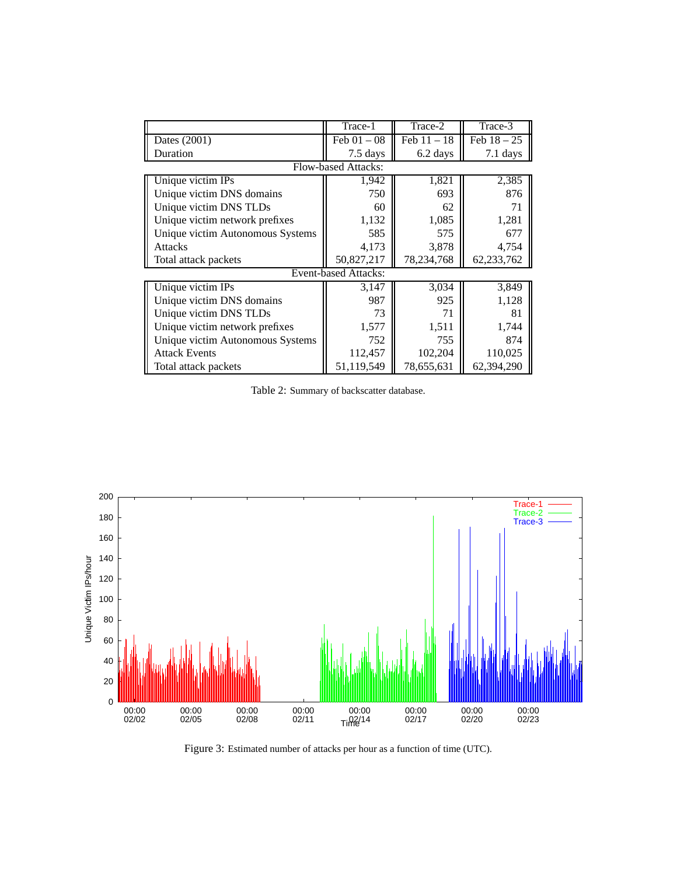|                                  | Trace-1                     | Trace-2       | Trace-3       |
|----------------------------------|-----------------------------|---------------|---------------|
| Dates (2001)                     | Feb $01 - 08$               | Feb $11 - 18$ | Feb $18 - 25$ |
| Duration                         | 7.5 days                    | 6.2 days      | 7.1 days      |
|                                  | <b>Flow-based Attacks:</b>  |               |               |
| Unique victim IPs                | 1,942                       | 1,821         | 2,385         |
| Unique victim DNS domains        | 750                         | 693           | 876           |
| Unique victim DNS TLDs           | 60                          | 62            | 71            |
| Unique victim network prefixes   | 1,132                       | 1,085         | 1,281         |
| Unique victim Autonomous Systems | 585                         | 575           | 677           |
| <b>Attacks</b>                   | 4,173                       | 3,878         | 4,754         |
| Total attack packets             | 50,827,217                  | 78,234,768    | 62,233,762    |
|                                  | <b>Event-based Attacks:</b> |               |               |
| Unique victim IPs                | 3,147                       | 3,034         | 3,849         |
| Unique victim DNS domains        | 987                         | 925           | 1,128         |
| Unique victim DNS TLDs           | 73                          | 71            | 81            |
| Unique victim network prefixes   | 1,577                       | 1,511         | 1,744         |
| Unique victim Autonomous Systems | 752                         | 755           | 874           |
| <b>Attack Events</b>             | 112,457                     | 102,204       | 110,025       |
| Total attack packets             | 51,119,549                  | 78,655,631    | 62,394,290    |

Table 2: Summary of backscatter database.



Figure 3: Estimated number of attacks per hour as a function of time (UTC).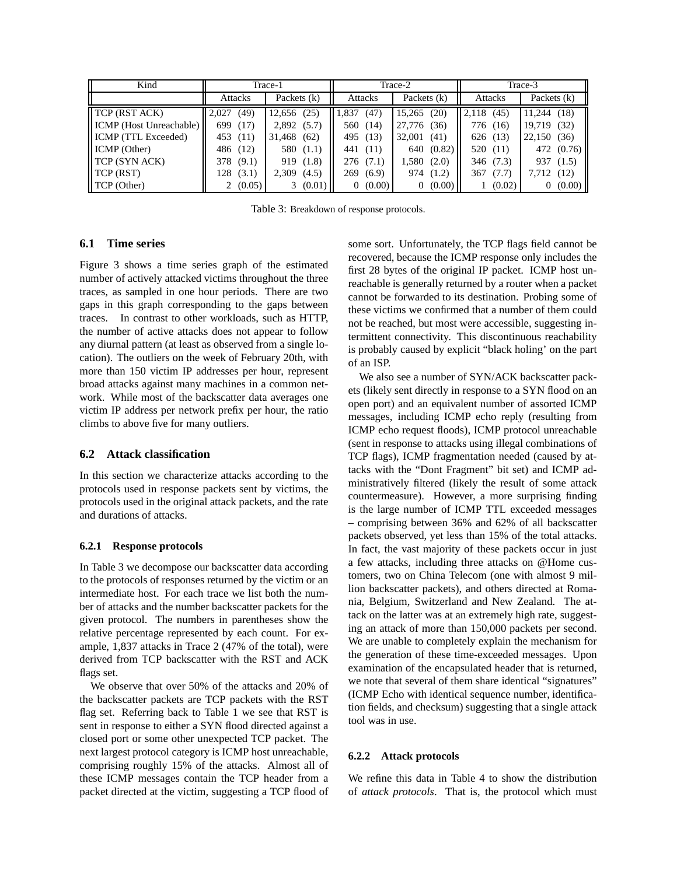| Kind                           |               | Trace-1        |              | Trace-2        | Trace-3       |                |  |  |
|--------------------------------|---------------|----------------|--------------|----------------|---------------|----------------|--|--|
|                                | Attacks       | Packets $(k)$  | Attacks      | Packets (k)    | Attacks       | Packets (k)    |  |  |
| $\parallel$ TCP (RST ACK)      | 2.027<br>(49) | (25)<br>12,656 | .837<br>(47  | (20)<br>15,265 | 2,118<br>(45) | (18)<br>11,244 |  |  |
| <b>ICMP</b> (Host Unreachable) | 699<br>(17)   | 2,892(5.7)     | 560 (14)     | 27,776<br>(36) | 776 (16)      | 19,719<br>(32) |  |  |
| <b>ICMP</b> (TTL Exceeded)     | 453 (11)      | 31,468 (62)    | 495 (13)     | 32,001<br>(41) | 626 (13)      | 22,150<br>(36) |  |  |
| ICMP (Other)                   | 486 (12)      | 580 (1.1)      | 441<br>(11)  | 640 (0.82)     | 520 (11)      | 472 (0.76)     |  |  |
| <b>TCP (SYN ACK)</b>           | (9.1)<br>378  | 919(1.8)       | 276 (7.1)    | 1,580(2.0)     | 346 (7.3)     | 937 (1.5)      |  |  |
| TCP (RST)                      | 128<br>(3.1)  | 2,309<br>(4.5) | (6.9)<br>269 | 974 (1.2)      | 367<br>(7.7)  | (12)<br>7,712  |  |  |
| <b>TCP</b> (Other)             | (0.05)        | 3(0.01)        | 0(0.00)      | 0(0.00)        | (0.02)        | (0.00)<br>0    |  |  |

Table 3: Breakdown of response protocols.

# **6.1 Time series**

Figure 3 shows a time series graph of the estimated number of actively attacked victims throughout the three traces, as sampled in one hour periods. There are two gaps in this graph corresponding to the gaps between traces. In contrast to other workloads, such as HTTP, the number of active attacks does not appear to follow any diurnal pattern (at least as observed from a single location). The outliers on the week of February 20th, with more than 150 victim IP addresses per hour, represent broad attacks against many machines in a common network. While most of the backscatter data averages one victim IP address per network prefix per hour, the ratio climbs to above five for many outliers.

## **6.2 Attack classification**

In this section we characterize attacks according to the protocols used in response packets sent by victims, the protocols used in the original attack packets, and the rate and durations of attacks.

#### **6.2.1 Response protocols**

In Table 3 we decompose our backscatter data according to the protocols of responses returned by the victim or an intermediate host. For each trace we list both the number of attacks and the number backscatter packets for the given protocol. The numbers in parentheses show the relative percentage represented by each count. For example, 1,837 attacks in Trace 2 (47% of the total), were derived from TCP backscatter with the RST and ACK flags set.

We observe that over 50% of the attacks and 20% of the backscatter packets are TCP packets with the RST flag set. Referring back to Table 1 we see that RST is sent in response to either a SYN flood directed against a closed port or some other unexpected TCP packet. The next largest protocol category is ICMP host unreachable, comprising roughly 15% of the attacks. Almost all of these ICMP messages contain the TCP header from a packet directed at the victim, suggesting a TCP flood of some sort. Unfortunately, the TCP flags field cannot be recovered, because the ICMP response only includes the first 28 bytes of the original IP packet. ICMP host unreachable is generally returned by a router when a packet cannot be forwarded to its destination. Probing some of these victims we confirmed that a number of them could not be reached, but most were accessible, suggesting intermittent connectivity. This discontinuous reachability is probably caused by explicit "black holing' on the part of an ISP.

We also see a number of SYN/ACK backscatter packets (likely sent directly in response to a SYN flood on an open port) and an equivalent number of assorted ICMP messages, including ICMP echo reply (resulting from ICMP echo request floods), ICMP protocol unreachable (sent in response to attacks using illegal combinations of TCP flags), ICMP fragmentation needed (caused by attacks with the "Dont Fragment" bit set) and ICMP administratively filtered (likely the result of some attack countermeasure). However, a more surprising finding is the large number of ICMP TTL exceeded messages – comprising between 36% and 62% of all backscatter packets observed, yet less than 15% of the total attacks. In fact, the vast majority of these packets occur in just a few attacks, including three attacks on @Home customers, two on China Telecom (one with almost 9 million backscatter packets), and others directed at Romania, Belgium, Switzerland and New Zealand. The attack on the latter was at an extremely high rate, suggesting an attack of more than 150,000 packets per second. We are unable to completely explain the mechanism for the generation of these time-exceeded messages. Upon examination of the encapsulated header that is returned, we note that several of them share identical "signatures" (ICMP Echo with identical sequence number, identification fields, and checksum) suggesting that a single attack tool was in use.

#### **6.2.2 Attack protocols**

We refine this data in Table 4 to show the distribution of *attack protocols*. That is, the protocol which must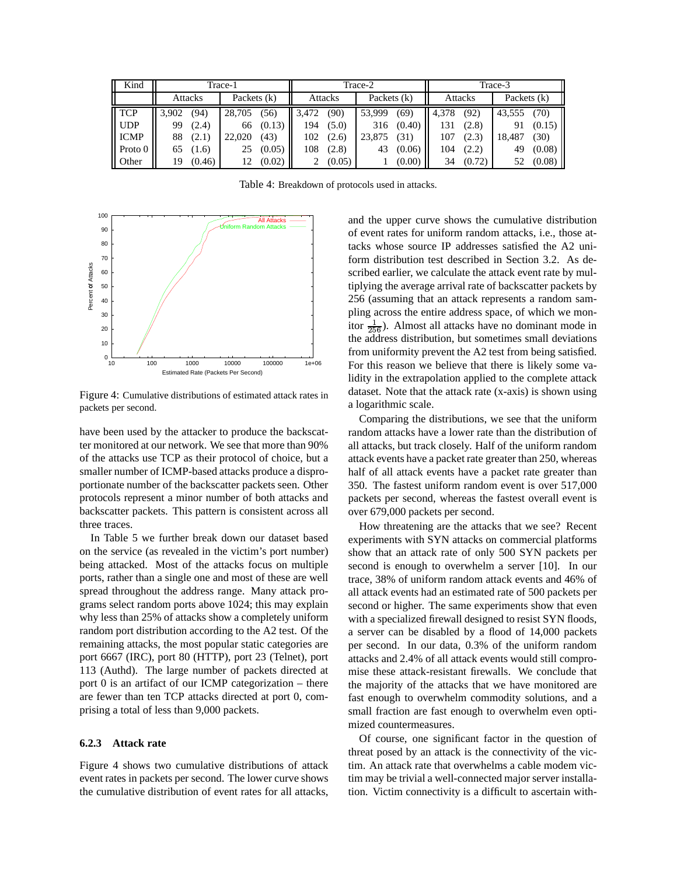| Kind                |                        |        | Trace-1 |        |             |        | Trace-2 |        | Trace-3       |        |        |        |
|---------------------|------------------------|--------|---------|--------|-------------|--------|---------|--------|---------------|--------|--------|--------|
|                     | Packets (k)<br>Attacks |        | Attacks |        | Packets (k) |        | Attacks |        | Packets $(k)$ |        |        |        |
| $\Gamma$ TCP        | 3,902                  | (94)   | 28,705  | (56)   | 3.472       | (90)   | 53,999  | (69)   | 4,378         | (92)   | 43,555 | (70)   |
| $\blacksquare$ UDP  | 99                     | (2.4)  | 66      | (0.13) | 194         | (5.0)  | 316     | (0.40) | 131           | (2.8)  |        | (0.15) |
| ICMP                | 88                     | (2.1)  | 22,020  | (43)   | 102         | (2.6)  | 23,875  | (31)   | 107           | (2.3)  | 18.487 | (30)   |
| $\parallel$ Proto 0 | 65                     | (1.6)  | 25      | (0.05) | 108         | (2.8)  | 43      | (0.06) | 104           | (2.2)  | 49     | (0.08) |
| <b>Other</b>        | 19                     | (0.46) | 12      | (0.02) |             | (0.05) |         | (0.00) | 34            | (0.72) | 52     | (0.08) |

Table 4: Breakdown of protocols used in attacks.



Figure 4: Cumulative distributions of estimated attack rates in packets per second.

have been used by the attacker to produce the backscatter monitored at our network. We see that more than 90% of the attacks use TCP as their protocol of choice, but a smaller number of ICMP-based attacks produce a disproportionate number of the backscatter packets seen. Other protocols represent a minor number of both attacks and backscatter packets. This pattern is consistent across all three traces.

In Table 5 we further break down our dataset based on the service (as revealed in the victim's port number) being attacked. Most of the attacks focus on multiple ports, rather than a single one and most of these are well spread throughout the address range. Many attack programs select random ports above 1024; this may explain why less than 25% of attacks show a completely uniform random port distribution according to the A2 test. Of the remaining attacks, the most popular static categories are port 6667 (IRC), port 80 (HTTP), port 23 (Telnet), port 113 (Authd). The large number of packets directed at port 0 is an artifact of our ICMP categorization – there are fewer than ten TCP attacks directed at port 0, comprising a total of less than 9,000 packets.

#### **6.2.3 Attack rate**

Figure 4 shows two cumulative distributions of attack event rates in packets per second. The lower curve shows the cumulative distribution of event rates for all attacks, and the upper curve shows the cumulative distribution of event rates for uniform random attacks, i.e., those attacks whose source IP addresses satisfied the A2 uniform distribution test described in Section 3.2. As described earlier, we calculate the attack event rate by multiplying the average arrival rate of backscatter packets by 256 (assuming that an attack represents a random sampling across the entire address space, of which we monitor  $\frac{1}{256}$ ). Almost all attacks have no dominant mode in the address distribution, but sometimes small deviations from uniformity prevent the A2 test from being satisfied. For this reason we believe that there is likely some validity in the extrapolation applied to the complete attack dataset. Note that the attack rate (x-axis) is shown using a logarithmic scale.

Comparing the distributions, we see that the uniform random attacks have a lower rate than the distribution of all attacks, but track closely. Half of the uniform random attack events have a packet rate greater than 250, whereas half of all attack events have a packet rate greater than 350. The fastest uniform random event is over 517,000 packets per second, whereas the fastest overall event is over 679,000 packets per second.

How threatening are the attacks that we see? Recent experiments with SYN attacks on commercial platforms show that an attack rate of only 500 SYN packets per second is enough to overwhelm a server [10]. In our trace, 38% of uniform random attack events and 46% of all attack events had an estimated rate of 500 packets per second or higher. The same experiments show that even with a specialized firewall designed to resist SYN floods, a server can be disabled by a flood of 14,000 packets per second. In our data, 0.3% of the uniform random attacks and 2.4% of all attack events would still compromise these attack-resistant firewalls. We conclude that the majority of the attacks that we have monitored are fast enough to overwhelm commodity solutions, and a small fraction are fast enough to overwhelm even optimized countermeasures.

Of course, one significant factor in the question of threat posed by an attack is the connectivity of the victim. An attack rate that overwhelms a cable modem victim may be trivial a well-connected major server installation. Victim connectivity is a difficult to ascertain with-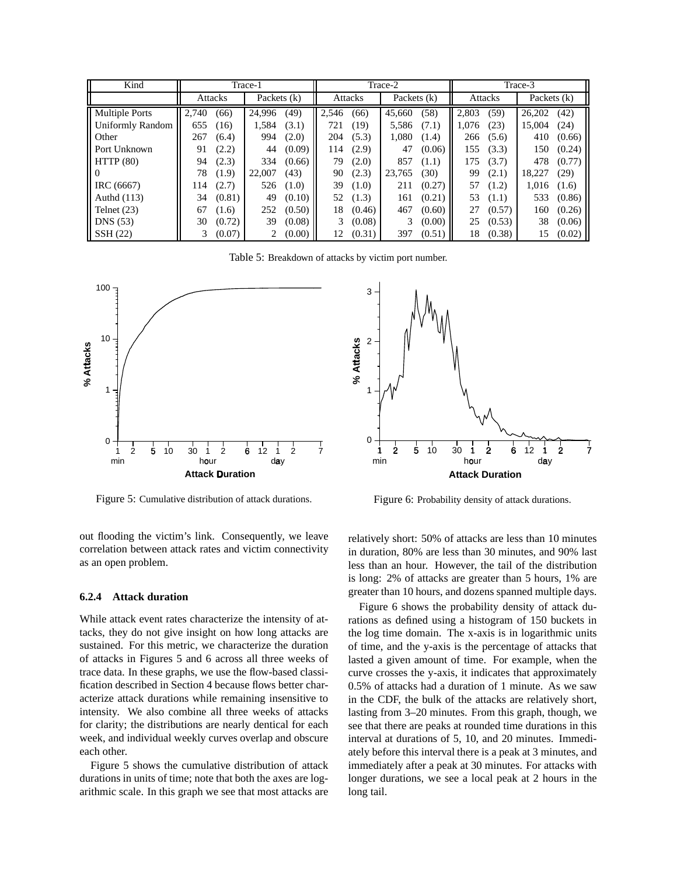| Kind                    |                |        | Trace-1     |        |         |        | Trace-2     |        | Trace-3        |        |               |        |
|-------------------------|----------------|--------|-------------|--------|---------|--------|-------------|--------|----------------|--------|---------------|--------|
|                         | <b>Attacks</b> |        | Packets (k) |        | Attacks |        | Packets (k) |        | <b>Attacks</b> |        | Packets $(k)$ |        |
| <b>Multiple Ports</b>   | 2.740          | (66)   | 24.996      | (49)   | 2.546   | (66)   | 45,660      | (58)   | 2.803          | (59)   | 26,202        | (42)   |
| <b>Uniformly Random</b> | 655            | (16)   | 1.584       | (3.1)  | 721     | (19)   | 5.586       | (7.1)  | 1.076          | (23)   | 15,004        | (24)   |
| Other                   | 267            | (6.4)  | 994         | (2.0)  | 204     | (5.3)  | 1,080       | (1.4)  | 266            | (5.6)  | 410           | (0.66) |
| Port Unknown            | 91             | (2.2)  | 44          | (0.09) | 114     | (2.9)  | 47          | (0.06) | 155            | (3.3)  | 150           | (0.24) |
| HTTP(80)                | 94             | (2.3)  | 334         | (0.66) | 79      | (2.0)  | 857         | (1.1)  | 175            | (3.7)  | 478           | (0.77) |
| $\theta$                | 78             | (1.9)  | 22,007      | (43)   | 90      | (2.3)  | 23,765      | (30)   | 99             | (2.1)  | 18.227        | (29)   |
| IRC (6667)              | 114            | (2.7)  | 526         | (1.0)  | 39      | (1.0)  | 211         | (0.27) | 57             | (1.2)  | 1.016         | (1.6)  |
| Authd $(113)$           | 34             | (0.81) | 49          | (0.10) | 52      | (1.3)  | 161         | (0.21) | 53             | (1.1)  | 533           | (0.86) |
| Telnet $(23)$           | 67             | (1.6)  | 252         | (0.50) | 18      | (0.46) | 467         | (0.60) | 27             | (0.57) | 160           | (0.26) |
| DNS(53)                 | 30             | (0.72) | 39          | (0.08) | 3       | (0.08) | 3           | (0.00) | 25             | (0.53) | 38            | (0.06) |
| SSH (22)                |                | (0.07) |             | (0.00) | 12      | (0.31) | 397         | (0.51) | 18             | (0.38) | 15            | (0.02) |

Table 5: Breakdown of attacks by victim port number.



Figure 5: Cumulative distribution of attack durations.

out flooding the victim's link. Consequently, we leave correlation between attack rates and victim connectivity as an open problem.

#### **6.2.4 Attack duration**

While attack event rates characterize the intensity of attacks, they do not give insight on how long attacks are sustained. For this metric, we characterize the duration of attacks in Figures 5 and 6 across all three weeks of trace data. In these graphs, we use the flow-based classification described in Section 4 because flows better characterize attack durations while remaining insensitive to intensity. We also combine all three weeks of attacks for clarity; the distributions are nearly dentical for each week, and individual weekly curves overlap and obscure each other.

Figure 5 shows the cumulative distribution of attack durations in units of time; note that both the axes are logarithmic scale. In this graph we see that most attacks are



Figure 6: Probability density of attack durations.

relatively short: 50% of attacks are less than 10 minutes in duration, 80% are less than 30 minutes, and 90% last less than an hour. However, the tail of the distribution is long: 2% of attacks are greater than 5 hours, 1% are greater than 10 hours, and dozens spanned multiple days.

Figure 6 shows the probability density of attack durations as defined using a histogram of 150 buckets in the log time domain. The x-axis is in logarithmic units of time, and the y-axis is the percentage of attacks that lasted a given amount of time. For example, when the curve crosses the y-axis, it indicates that approximately 0.5% of attacks had a duration of 1 minute. As we saw in the CDF, the bulk of the attacks are relatively short, lasting from 3–20 minutes. From this graph, though, we see that there are peaks at rounded time durations in this interval at durations of 5, 10, and 20 minutes. Immediately before this interval there is a peak at 3 minutes, and immediately after a peak at 30 minutes. For attacks with longer durations, we see a local peak at 2 hours in the long tail.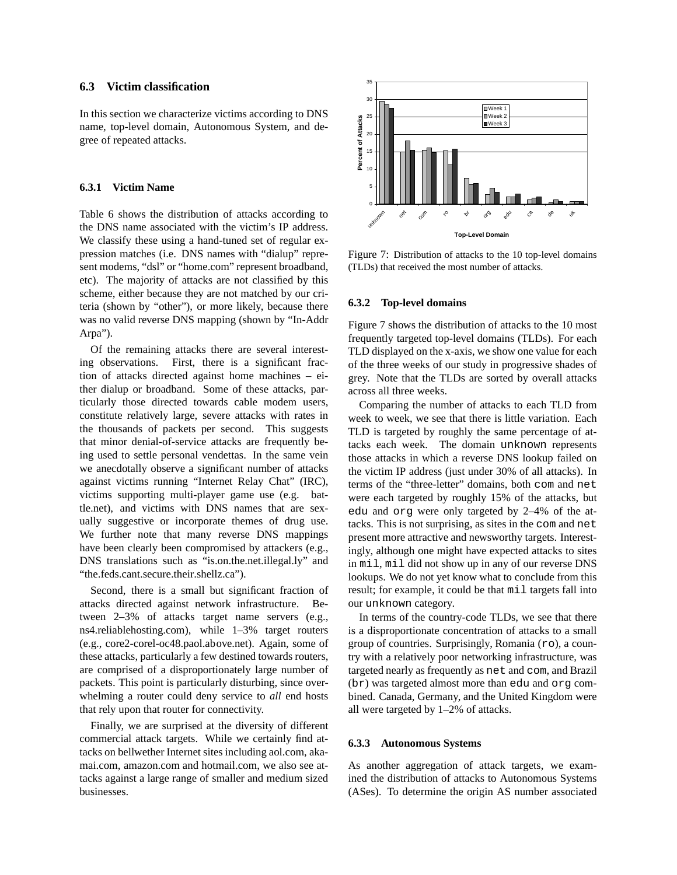## **6.3 Victim classification**

In this section we characterize victims according to DNS name, top-level domain, Autonomous System, and degree of repeated attacks.

#### **6.3.1 Victim Name**

Table 6 shows the distribution of attacks according to the DNS name associated with the victim's IP address. We classify these using a hand-tuned set of regular expression matches (i.e. DNS names with "dialup" represent modems, "dsl" or "home.com" represent broadband, etc). The majority of attacks are not classified by this scheme, either because they are not matched by our criteria (shown by "other"), or more likely, because there was no valid reverse DNS mapping (shown by "In-Addr Arpa").

Of the remaining attacks there are several interesting observations. First, there is a significant fraction of attacks directed against home machines – either dialup or broadband. Some of these attacks, particularly those directed towards cable modem users, constitute relatively large, severe attacks with rates in the thousands of packets per second. This suggests that minor denial-of-service attacks are frequently being used to settle personal vendettas. In the same vein we anecdotally observe a significant number of attacks against victims running "Internet Relay Chat" (IRC), victims supporting multi-player game use (e.g. battle.net), and victims with DNS names that are sexually suggestive or incorporate themes of drug use. We further note that many reverse DNS mappings have been clearly been compromised by attackers (e.g., DNS translations such as "is.on.the.net.illegal.ly" and "the.feds.cant.secure.their.shellz.ca").

Second, there is a small but significant fraction of attacks directed against network infrastructure. Between 2–3% of attacks target name servers (e.g., ns4.reliablehosting.com), while 1–3% target routers (e.g., core2-corel-oc48.paol.above.net). Again, some of these attacks, particularly a few destined towards routers, are comprised of a disproportionately large number of packets. This point is particularly disturbing, since overwhelming a router could deny service to *all* end hosts that rely upon that router for connectivity.

Finally, we are surprised at the diversity of different commercial attack targets. While we certainly find attacks on bellwether Internet sites including aol.com, akamai.com, amazon.com and hotmail.com, we also see attacks against a large range of smaller and medium sized businesses.



Figure 7: Distribution of attacks to the 10 top-level domains (TLDs) that received the most number of attacks.

#### **6.3.2 Top-level domains**

Figure 7 shows the distribution of attacks to the 10 most frequently targeted top-level domains (TLDs). For each TLD displayed on the x-axis, we show one value for each of the three weeks of our study in progressive shades of grey. Note that the TLDs are sorted by overall attacks across all three weeks.

Comparing the number of attacks to each TLD from week to week, we see that there is little variation. Each TLD is targeted by roughly the same percentage of attacks each week. The domain unknown represents those attacks in which a reverse DNS lookup failed on the victim IP address (just under 30% of all attacks). In terms of the "three-letter" domains, both com and net were each targeted by roughly 15% of the attacks, but edu and org were only targeted by 2–4% of the attacks. This is not surprising, as sites in the com and net present more attractive and newsworthy targets. Interestingly, although one might have expected attacks to sites in mil, mil did not show up in any of our reverse DNS lookups. We do not yet know what to conclude from this result; for example, it could be that mil targets fall into our unknown category.

In terms of the country-code TLDs, we see that there is a disproportionate concentration of attacks to a small group of countries. Surprisingly, Romania  $(ro)$ , a country with a relatively poor networking infrastructure, was targeted nearly as frequently as net and com, and Brazil (br) was targeted almost more than edu and org combined. Canada, Germany, and the United Kingdom were all were targeted by 1–2% of attacks.

#### **6.3.3 Autonomous Systems**

As another aggregation of attack targets, we examined the distribution of attacks to Autonomous Systems (ASes). To determine the origin AS number associated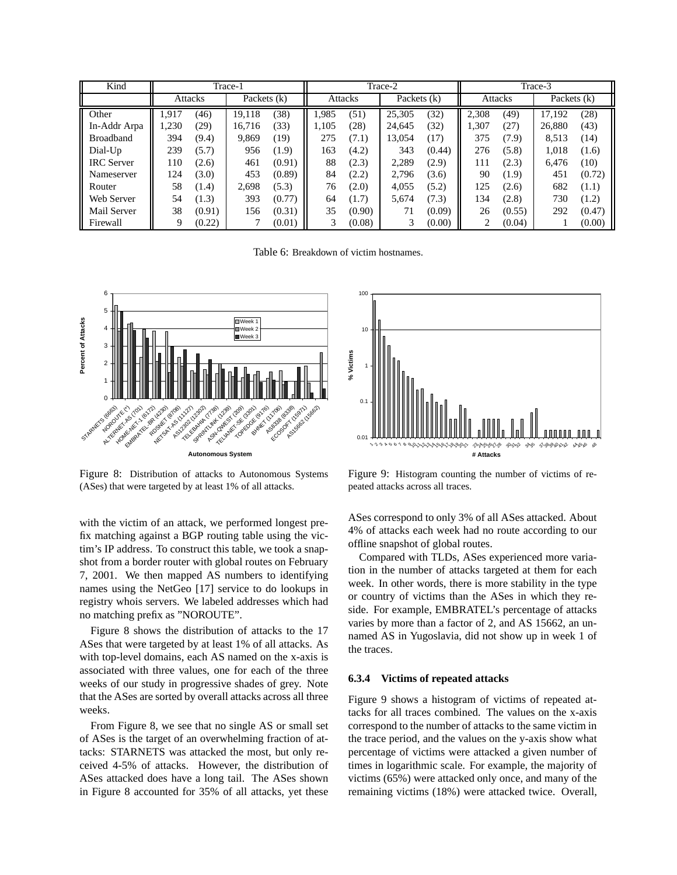| Kind              |                |        | Trace-1     |        | Trace-2 |        |               |        | Trace-3 |        |               |        |
|-------------------|----------------|--------|-------------|--------|---------|--------|---------------|--------|---------|--------|---------------|--------|
|                   | <b>Attacks</b> |        | Packets (k) |        | Attacks |        | Packets $(k)$ |        | Attacks |        | Packets $(k)$ |        |
| Other             | 1.917          | (46)   | 19,118      | (38)   | 1.985   | (51)   | 25,305        | (32)   | 2,308   | (49)   | 17,192        | (28)   |
| In-Addr Arpa      | 1.230          | (29)   | 16,716      | (33)   | 1.105   | (28)   | 24.645        | (32)   | 1,307   | (27)   | 26,880        | (43)   |
| <b>Broadband</b>  | 394            | (9.4)  | 9,869       | (19)   | 275     | (7.1)  | 13,054        | (17)   | 375     | (7.9)  | 8,513         | (14)   |
| Dial-Up           | 239            | (5.7)  | 956         | (1.9)  | 163     | (4.2)  | 343           | (0.44) | 276     | (5.8)  | 1,018         | (1.6)  |
| <b>IRC</b> Server | 110            | (2.6)  | 461         | (0.91) | 88      | (2.3)  | 2,289         | (2.9)  | 111     | (2.3)  | 6.476         | (10)   |
| Nameserver        | 124            | (3.0)  | 453         | (0.89) | 84      | (2.2)  | 2,796         | (3.6)  | 90      | (1.9)  | 451           | (0.72) |
| Router            | 58             | (1.4)  | 2,698       | (5.3)  | 76      | (2.0)  | 4.055         | (5.2)  | 125     | (2.6)  | 682           | (1.1)  |
| Web Server        | 54             | (1.3)  | 393         | (0.77) | 64      | (1.7)  | 5,674         | (7.3)  | 134     | (2.8)  | 730           | (1.2)  |
| Mail Server       | 38             | (0.91) | 156         | (0.31) | 35      | (0.90) | 71            | (0.09) | 26      | (0.55) | 292           | (0.47) |
| Firewall          | 9              | (0.22) |             | (0.01) | 3       | (0.08) | 3             | (0.00) |         | (0.04) |               | (0.00) |

Table 6: Breakdown of victim hostnames.



Figure 8: Distribution of attacks to Autonomous Systems (ASes) that were targeted by at least 1% of all attacks.

with the victim of an attack, we performed longest prefix matching against a BGP routing table using the victim's IP address. To construct this table, we took a snapshot from a border router with global routes on February 7, 2001. We then mapped AS numbers to identifying names using the NetGeo [17] service to do lookups in registry whois servers. We labeled addresses which had no matching prefix as "NOROUTE".

Figure 8 shows the distribution of attacks to the 17 ASes that were targeted by at least 1% of all attacks. As with top-level domains, each AS named on the x-axis is associated with three values, one for each of the three weeks of our study in progressive shades of grey. Note that the ASes are sorted by overall attacks across all three weeks.

From Figure 8, we see that no single AS or small set of ASes is the target of an overwhelming fraction of attacks: STARNETS was attacked the most, but only received 4-5% of attacks. However, the distribution of ASes attacked does have a long tail. The ASes shown in Figure 8 accounted for 35% of all attacks, yet these



Figure 9: Histogram counting the number of victims of repeated attacks across all traces.

ASes correspond to only 3% of all ASes attacked. About 4% of attacks each week had no route according to our offline snapshot of global routes.

Compared with TLDs, ASes experienced more variation in the number of attacks targeted at them for each week. In other words, there is more stability in the type or country of victims than the ASes in which they reside. For example, EMBRATEL's percentage of attacks varies by more than a factor of 2, and AS 15662, an unnamed AS in Yugoslavia, did not show up in week 1 of the traces.

#### **6.3.4 Victims of repeated attacks**

Figure 9 shows a histogram of victims of repeated attacks for all traces combined. The values on the x-axis correspond to the number of attacks to the same victim in the trace period, and the values on the y-axis show what percentage of victims were attacked a given number of times in logarithmic scale. For example, the majority of victims (65%) were attacked only once, and many of the remaining victims (18%) were attacked twice. Overall,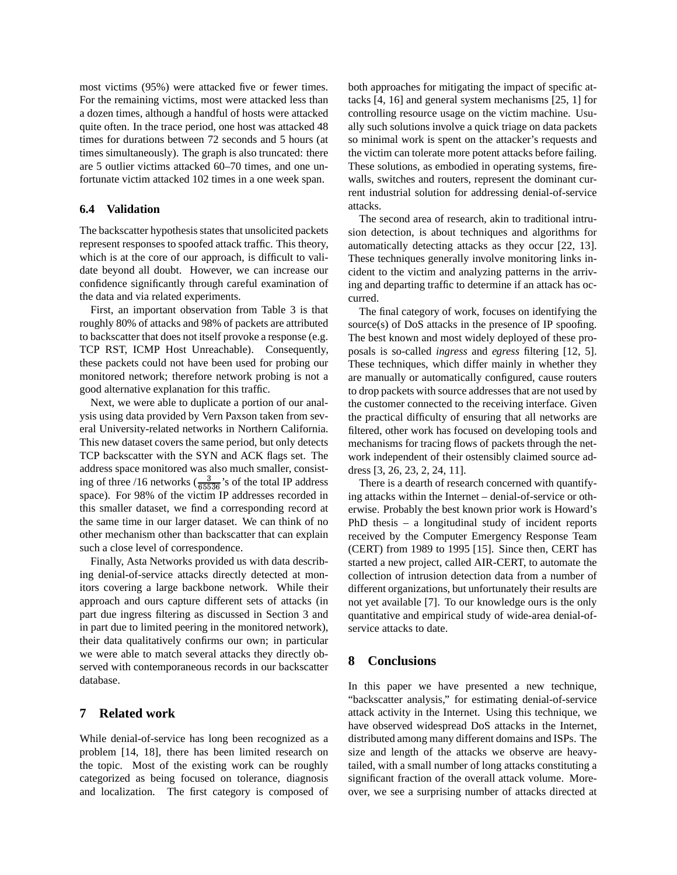most victims (95%) were attacked five or fewer times. For the remaining victims, most were attacked less than a dozen times, although a handful of hosts were attacked quite often. In the trace period, one host was attacked 48 times for durations between 72 seconds and 5 hours (at times simultaneously). The graph is also truncated: there are 5 outlier victims attacked 60–70 times, and one unfortunate victim attacked 102 times in a one week span.

## **6.4 Validation**

The backscatter hypothesis states that unsolicited packets represent responses to spoofed attack traffic. This theory, which is at the core of our approach, is difficult to validate beyond all doubt. However, we can increase our confidence significantly through careful examination of the data and via related experiments.

First, an important observation from Table 3 is that roughly 80% of attacks and 98% of packets are attributed to backscatter that does not itself provoke a response (e.g. TCP RST, ICMP Host Unreachable). Consequently, these packets could not have been used for probing our monitored network; therefore network probing is not a good alternative explanation for this traffic.

Next, we were able to duplicate a portion of our analysis using data provided by Vern Paxson taken from several University-related networks in Northern California. This new dataset covers the same period, but only detects TCP backscatter with the SYN and ACK flags set. The address space monitored was also much smaller, consisting of three /16 networks  $(\frac{3}{65536})$ 's of the total IP address space). For 98% of the victim IP addresses recorded in this smaller dataset, we find a corresponding record at the same time in our larger dataset. We can think of no other mechanism other than backscatter that can explain such a close level of correspondence.

Finally, Asta Networks provided us with data describing denial-of-service attacks directly detected at monitors covering a large backbone network. While their approach and ours capture different sets of attacks (in part due ingress filtering as discussed in Section 3 and in part due to limited peering in the monitored network), their data qualitatively confirms our own; in particular we were able to match several attacks they directly observed with contemporaneous records in our backscatter database.

# **7 Related work**

While denial-of-service has long been recognized as a problem [14, 18], there has been limited research on the topic. Most of the existing work can be roughly categorized as being focused on tolerance, diagnosis and localization. The first category is composed of both approaches for mitigating the impact of specific attacks [4, 16] and general system mechanisms [25, 1] for controlling resource usage on the victim machine. Usually such solutions involve a quick triage on data packets so minimal work is spent on the attacker's requests and the victim can tolerate more potent attacks before failing. These solutions, as embodied in operating systems, firewalls, switches and routers, represent the dominant current industrial solution for addressing denial-of-service attacks.

The second area of research, akin to traditional intrusion detection, is about techniques and algorithms for automatically detecting attacks as they occur [22, 13]. These techniques generally involve monitoring links incident to the victim and analyzing patterns in the arriving and departing traffic to determine if an attack has occurred.

The final category of work, focuses on identifying the source(s) of DoS attacks in the presence of IP spoofing. The best known and most widely deployed of these proposals is so-called *ingress* and *egress* filtering [12, 5]. These techniques, which differ mainly in whether they are manually or automatically configured, cause routers to drop packets with source addresses that are not used by the customer connected to the receiving interface. Given the practical difficulty of ensuring that all networks are filtered, other work has focused on developing tools and mechanisms for tracing flows of packets through the network independent of their ostensibly claimed source address [3, 26, 23, 2, 24, 11].

There is a dearth of research concerned with quantifying attacks within the Internet – denial-of-service or otherwise. Probably the best known prior work is Howard's PhD thesis – a longitudinal study of incident reports received by the Computer Emergency Response Team (CERT) from 1989 to 1995 [15]. Since then, CERT has started a new project, called AIR-CERT, to automate the collection of intrusion detection data from a number of different organizations, but unfortunately their results are not yet available [7]. To our knowledge ours is the only quantitative and empirical study of wide-area denial-ofservice attacks to date.

## **8 Conclusions**

In this paper we have presented a new technique, "backscatter analysis," for estimating denial-of-service attack activity in the Internet. Using this technique, we have observed widespread DoS attacks in the Internet, distributed among many different domains and ISPs. The size and length of the attacks we observe are heavytailed, with a small number of long attacks constituting a significant fraction of the overall attack volume. Moreover, we see a surprising number of attacks directed at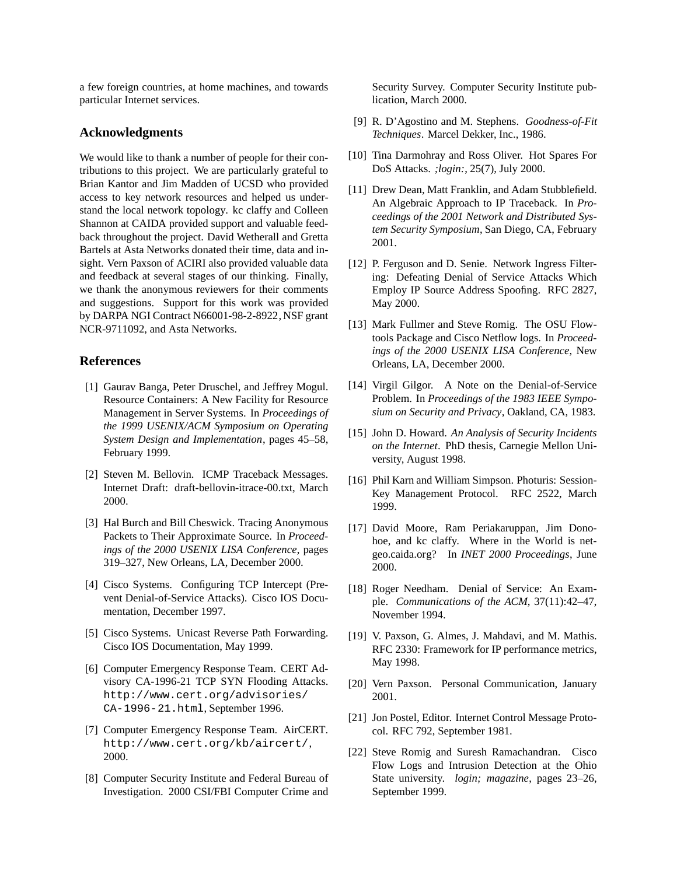a few foreign countries, at home machines, and towards particular Internet services.

# **Acknowledgments**

We would like to thank a number of people for their contributions to this project. We are particularly grateful to Brian Kantor and Jim Madden of UCSD who provided access to key network resources and helped us understand the local network topology. kc claffy and Colleen Shannon at CAIDA provided support and valuable feedback throughout the project. David Wetherall and Gretta Bartels at Asta Networks donated their time, data and insight. Vern Paxson of ACIRI also provided valuable data and feedback at several stages of our thinking. Finally, we thank the anonymous reviewers for their comments and suggestions. Support for this work was provided by DARPA NGI Contract N66001-98-2-8922, NSF grant NCR-9711092, and Asta Networks.

# **References**

- [1] Gaurav Banga, Peter Druschel, and Jeffrey Mogul. Resource Containers: A New Facility for Resource Management in Server Systems. In *Proceedings of the 1999 USENIX/ACM Symposium on Operating System Design and Implementation*, pages 45–58, February 1999.
- [2] Steven M. Bellovin. ICMP Traceback Messages. Internet Draft: draft-bellovin-itrace-00.txt, March 2000.
- [3] Hal Burch and Bill Cheswick. Tracing Anonymous Packets to Their Approximate Source. In *Proceedings of the 2000 USENIX LISA Conference*, pages 319–327, New Orleans, LA, December 2000.
- [4] Cisco Systems. Configuring TCP Intercept (Prevent Denial-of-Service Attacks). Cisco IOS Documentation, December 1997.
- [5] Cisco Systems. Unicast Reverse Path Forwarding. Cisco IOS Documentation, May 1999.
- [6] Computer Emergency Response Team. CERT Advisory CA-1996-21 TCP SYN Flooding Attacks. http://www.cert.org/advisories/ CA-1996-21.html, September 1996.
- [7] Computer Emergency Response Team. AirCERT. http://www.cert.org/kb/aircert/, 2000.
- [8] Computer Security Institute and Federal Bureau of Investigation. 2000 CSI/FBI Computer Crime and

Security Survey. Computer Security Institute publication, March 2000.

- [9] R. D'Agostino and M. Stephens. *Goodness-of-Fit Techniques*. Marcel Dekker, Inc., 1986.
- [10] Tina Darmohray and Ross Oliver. Hot Spares For DoS Attacks. *;login:*, 25(7), July 2000.
- [11] Drew Dean, Matt Franklin, and Adam Stubblefield. An Algebraic Approach to IP Traceback. In *Proceedings of the 2001 Network and Distributed System Security Symposium*, San Diego, CA, February 2001.
- [12] P. Ferguson and D. Senie. Network Ingress Filtering: Defeating Denial of Service Attacks Which Employ IP Source Address Spoofing. RFC 2827, May 2000.
- [13] Mark Fullmer and Steve Romig. The OSU Flowtools Package and Cisco Netflow logs. In *Proceedings of the 2000 USENIX LISA Conference*, New Orleans, LA, December 2000.
- [14] Virgil Gilgor. A Note on the Denial-of-Service Problem. In *Proceedings of the 1983 IEEE Symposium on Security and Privacy*, Oakland, CA, 1983.
- [15] John D. Howard. *An Analysis of Security Incidents on the Internet*. PhD thesis, Carnegie Mellon University, August 1998.
- [16] Phil Karn and William Simpson. Photuris: Session-Key Management Protocol. RFC 2522, March 1999.
- [17] David Moore, Ram Periakaruppan, Jim Donohoe, and kc claffy. Where in the World is netgeo.caida.org? In *INET 2000 Proceedings*, June 2000.
- [18] Roger Needham. Denial of Service: An Example. *Communications of the ACM*, 37(11):42–47, November 1994.
- [19] V. Paxson, G. Almes, J. Mahdavi, and M. Mathis. RFC 2330: Framework for IP performance metrics, May 1998.
- [20] Vern Paxson. Personal Communication, January 2001.
- [21] Jon Postel, Editor. Internet Control Message Protocol. RFC 792, September 1981.
- [22] Steve Romig and Suresh Ramachandran. Cisco Flow Logs and Intrusion Detection at the Ohio State university. *login; magazine*, pages 23–26, September 1999.